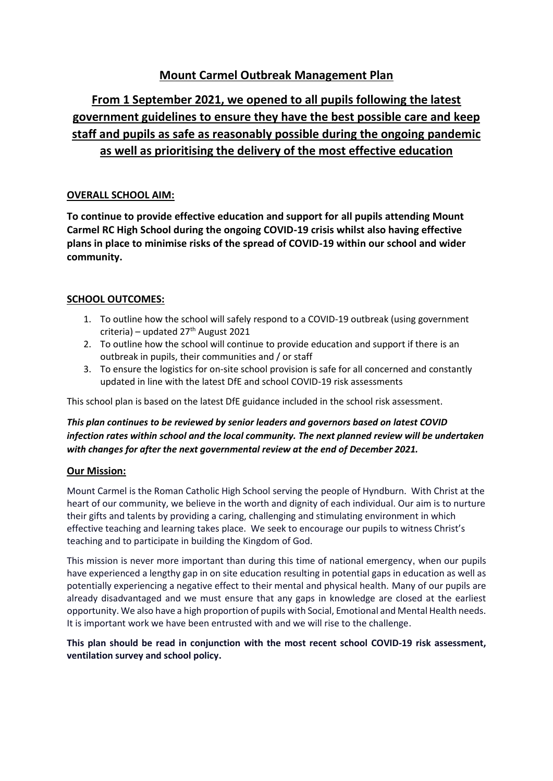## **Mount Carmel Outbreak Management Plan**

# **From 1 September 2021, we opened to all pupils following the latest government guidelines to ensure they have the best possible care and keep staff and pupils as safe as reasonably possible during the ongoing pandemic as well as prioritising the delivery of the most effective education**

## **OVERALL SCHOOL AIM:**

**To continue to provide effective education and support for all pupils attending Mount Carmel RC High School during the ongoing COVID-19 crisis whilst also having effective plans in place to minimise risks of the spread of COVID-19 within our school and wider community.**

## **SCHOOL OUTCOMES:**

- 1. To outline how the school will safely respond to a COVID-19 outbreak (using government criteria) – updated 27<sup>th</sup> August 2021
- 2. To outline how the school will continue to provide education and support if there is an outbreak in pupils, their communities and / or staff
- 3. To ensure the logistics for on-site school provision is safe for all concerned and constantly updated in line with the latest DfE and school COVID-19 risk assessments

This school plan is based on the latest DfE guidance included in the school risk assessment.

## *This plan continues to be reviewed by senior leaders and governors based on latest COVID infection rates within school and the local community. The next planned review will be undertaken with changes for after the next governmental review at the end of December 2021.*

## **Our Mission:**

Mount Carmel is the Roman Catholic High School serving the people of Hyndburn. With Christ at the heart of our community, we believe in the worth and dignity of each individual. Our aim is to nurture their gifts and talents by providing a caring, challenging and stimulating environment in which effective teaching and learning takes place. We seek to encourage our pupils to witness Christ's teaching and to participate in building the Kingdom of God.

This mission is never more important than during this time of national emergency, when our pupils have experienced a lengthy gap in on site education resulting in potential gaps in education as well as potentially experiencing a negative effect to their mental and physical health. Many of our pupils are already disadvantaged and we must ensure that any gaps in knowledge are closed at the earliest opportunity. We also have a high proportion of pupils with Social, Emotional and Mental Health needs. It is important work we have been entrusted with and we will rise to the challenge.

**This plan should be read in conjunction with the most recent school COVID-19 risk assessment, ventilation survey and school policy.**